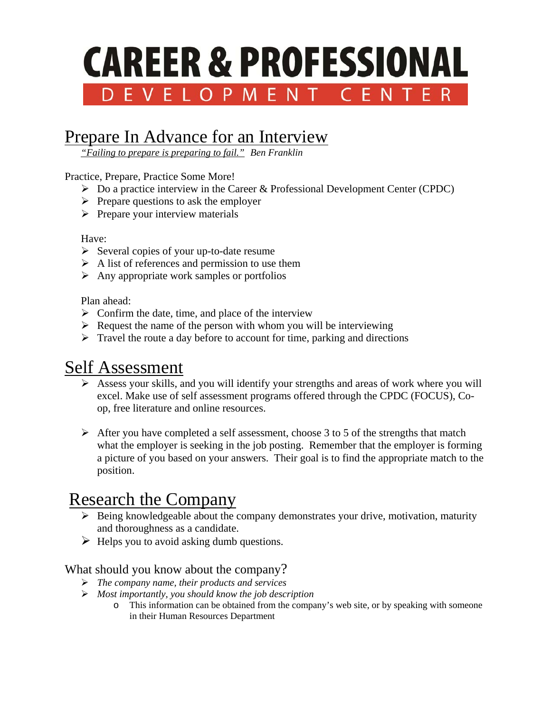# **CAREER & PROFESSIONAL** DEVELOPMENT CENTER

## Prepare In Advance for an Interview

*"Failing to prepare is preparing to fail." Ben Franklin* 

Practice, Prepare, Practice Some More!

- $\triangleright$  Do a practice interview in the Career & Professional Development Center (CPDC)
- $\triangleright$  Prepare questions to ask the employer
- $\triangleright$  Prepare your interview materials

#### Have:

- $\triangleright$  Several copies of your up-to-date resume
- $\triangleright$  A list of references and permission to use them
- $\triangleright$  Any appropriate work samples or portfolios

Plan ahead:

- $\triangleright$  Confirm the date, time, and place of the interview
- $\triangleright$  Request the name of the person with whom you will be interviewing
- $\triangleright$  Travel the route a day before to account for time, parking and directions

## Self Assessment

- Assess your skills, and you will identify your strengths and areas of work where you will excel. Make use of self assessment programs offered through the CPDC (FOCUS), Coop, free literature and online resources.
- $\triangleright$  After you have completed a self assessment, choose 3 to 5 of the strengths that match what the employer is seeking in the job posting. Remember that the employer is forming a picture of you based on your answers. Their goal is to find the appropriate match to the position.

## Research the Company

- $\triangleright$  Being knowledgeable about the company demonstrates your drive, motivation, maturity and thoroughness as a candidate.
- $\triangleright$  Helps you to avoid asking dumb questions.

### What should you know about the company?

- *The company name, their products and services*
- *Most importantly, you should know the job description* 
	- o This information can be obtained from the company's web site, or by speaking with someone in their Human Resources Department